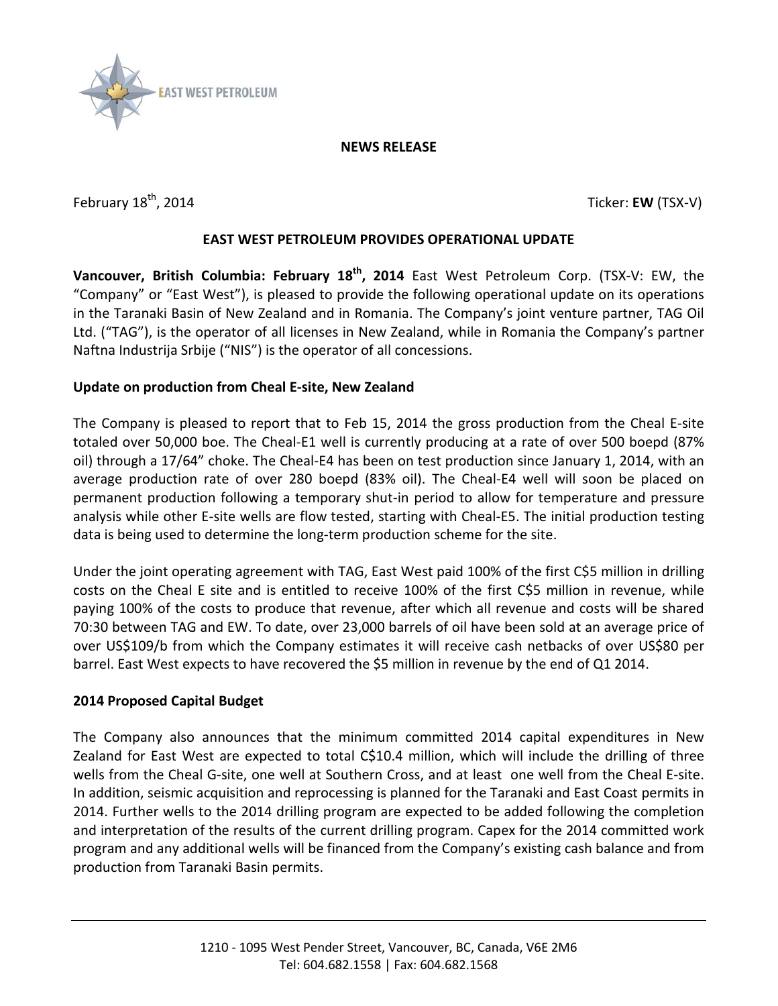

#### **NEWS RELEASE**

February 18<sup>th</sup>, 2014 **Ticker: EW** (TSX-V)

## **EAST WEST PETROLEUM PROVIDES OPERATIONAL UPDATE**

**Vancouver, British Columbia: February 18th , 2014** East West Petroleum Corp. (TSX-V: EW, the "Company" or "East West"), is pleased to provide the following operational update on its operations in the Taranaki Basin of New Zealand and in Romania. The Company's joint venture partner, TAG Oil Ltd. ("TAG"), is the operator of all licenses in New Zealand, while in Romania the Company's partner Naftna Industrija Srbije ("NIS") is the operator of all concessions.

# **Update on production from Cheal E-site, New Zealand**

The Company is pleased to report that to Feb 15, 2014 the gross production from the Cheal E-site totaled over 50,000 boe. The Cheal-E1 well is currently producing at a rate of over 500 boepd (87% oil) through a 17/64" choke. The Cheal-E4 has been on test production since January 1, 2014, with an average production rate of over 280 boepd (83% oil). The Cheal-E4 well will soon be placed on permanent production following a temporary shut-in period to allow for temperature and pressure analysis while other E-site wells are flow tested, starting with Cheal-E5. The initial production testing data is being used to determine the long-term production scheme for the site.

Under the joint operating agreement with TAG, East West paid 100% of the first C\$5 million in drilling costs on the Cheal E site and is entitled to receive 100% of the first C\$5 million in revenue, while paying 100% of the costs to produce that revenue, after which all revenue and costs will be shared 70:30 between TAG and EW. To date, over 23,000 barrels of oil have been sold at an average price of over US\$109/b from which the Company estimates it will receive cash netbacks of over US\$80 per barrel. East West expects to have recovered the \$5 million in revenue by the end of Q1 2014.

#### **2014 Proposed Capital Budget**

The Company also announces that the minimum committed 2014 capital expenditures in New Zealand for East West are expected to total C\$10.4 million, which will include the drilling of three wells from the Cheal G-site, one well at Southern Cross, and at least one well from the Cheal E-site. In addition, seismic acquisition and reprocessing is planned for the Taranaki and East Coast permits in 2014. Further wells to the 2014 drilling program are expected to be added following the completion and interpretation of the results of the current drilling program. Capex for the 2014 committed work program and any additional wells will be financed from the Company's existing cash balance and from production from Taranaki Basin permits.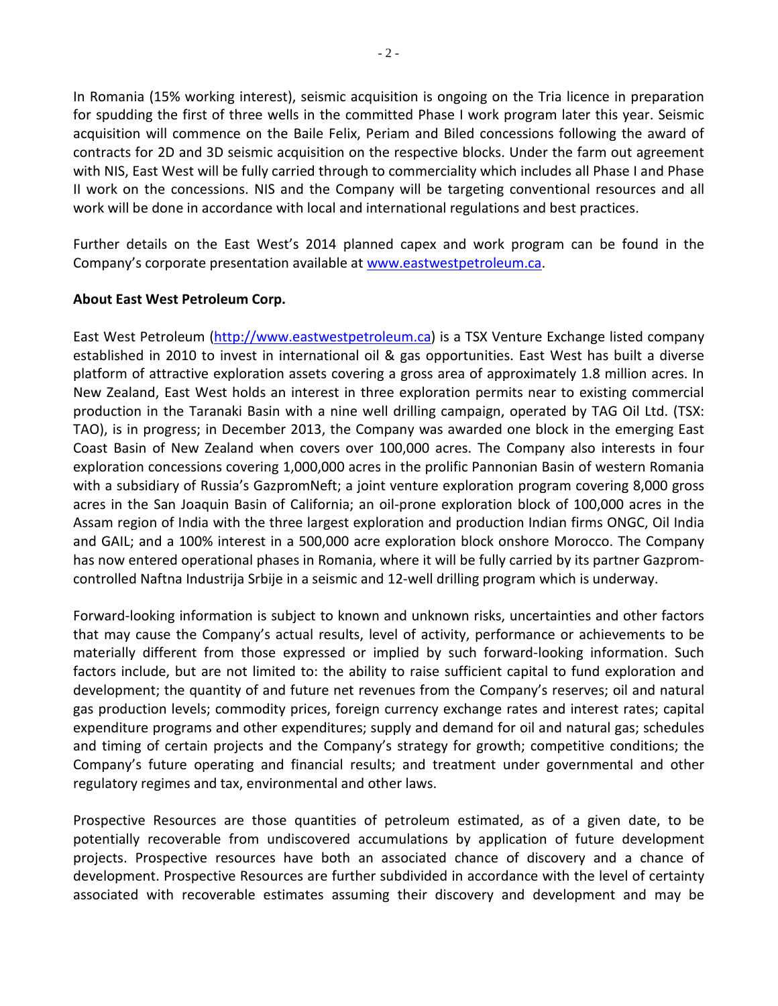In Romania (15% working interest), seismic acquisition is ongoing on the Tria licence in preparation for spudding the first of three wells in the committed Phase I work program later this year. Seismic acquisition will commence on the Baile Felix, Periam and Biled concessions following the award of contracts for 2D and 3D seismic acquisition on the respective blocks. Under the farm out agreement with NIS, East West will be fully carried through to commerciality which includes all Phase I and Phase II work on the concessions. NIS and the Company will be targeting conventional resources and all work will be done in accordance with local and international regulations and best practices.

Further details on the East West's 2014 planned capex and work program can be found in the Company's corporate presentation available a[t www.eastwestpetroleum.ca.](http://www.eastwestpetroleum.ca/)

### **About East West Petroleum Corp.**

East West Petroleum [\(http://www.eastwestpetroleum.ca\)](http://www.eastwestpetroleum.ca/) is a TSX Venture Exchange listed company established in 2010 to invest in international oil & gas opportunities. East West has built a diverse platform of attractive exploration assets covering a gross area of approximately 1.8 million acres. In New Zealand, East West holds an interest in three exploration permits near to existing commercial production in the Taranaki Basin with a nine well drilling campaign, operated by TAG Oil Ltd. (TSX: TAO), is in progress; in December 2013, the Company was awarded one block in the emerging East Coast Basin of New Zealand when covers over 100,000 acres. The Company also interests in four exploration concessions covering 1,000,000 acres in the prolific Pannonian Basin of western Romania with a subsidiary of Russia's GazpromNeft; a joint venture exploration program covering 8,000 gross acres in the San Joaquin Basin of California; an oil-prone exploration block of 100,000 acres in the Assam region of India with the three largest exploration and production Indian firms ONGC, Oil India and GAIL; and a 100% interest in a 500,000 acre exploration block onshore Morocco. The Company has now entered operational phases in Romania, where it will be fully carried by its partner Gazpromcontrolled Naftna Industrija Srbije in a seismic and 12-well drilling program which is underway.

Forward-looking information is subject to known and unknown risks, uncertainties and other factors that may cause the Company's actual results, level of activity, performance or achievements to be materially different from those expressed or implied by such forward-looking information. Such factors include, but are not limited to: the ability to raise sufficient capital to fund exploration and development; the quantity of and future net revenues from the Company's reserves; oil and natural gas production levels; commodity prices, foreign currency exchange rates and interest rates; capital expenditure programs and other expenditures; supply and demand for oil and natural gas; schedules and timing of certain projects and the Company's strategy for growth; competitive conditions; the Company's future operating and financial results; and treatment under governmental and other regulatory regimes and tax, environmental and other laws.

Prospective Resources are those quantities of petroleum estimated, as of a given date, to be potentially recoverable from undiscovered accumulations by application of future development projects. Prospective resources have both an associated chance of discovery and a chance of development. Prospective Resources are further subdivided in accordance with the level of certainty associated with recoverable estimates assuming their discovery and development and may be